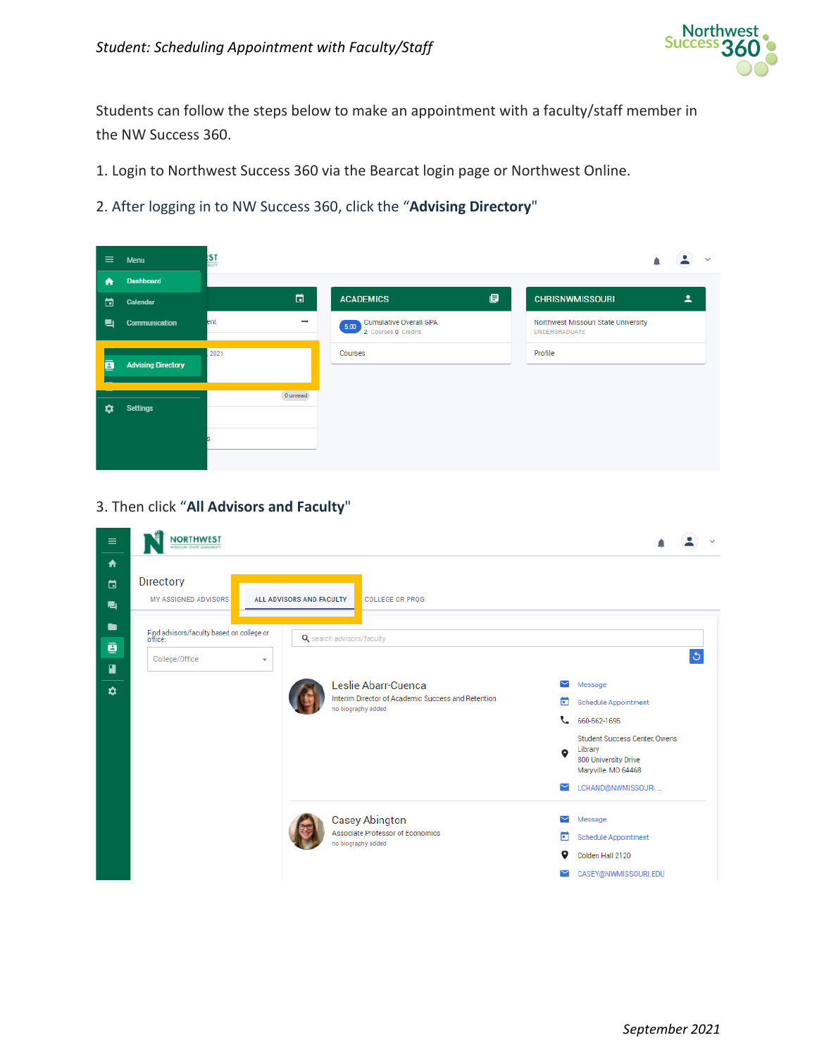

Students can follow the steps below to make an appointment with a faculty/staff member in the NW Success 360.

1. Login to Northwest Success 360 via the Bearcat login page or Northwest Online.

2. After logging in to NW Success 360, click the "**Advising Directory**"

| $\equiv$ | Menu                      | <b>ST</b>            |                                                              | $\sim$                                               |
|----------|---------------------------|----------------------|--------------------------------------------------------------|------------------------------------------------------|
| ₩        | <b>Dashboard</b>          |                      |                                                              |                                                      |
| ⊟        | Calendar                  | $\Box$               | 画<br><b>ACADEMICS</b>                                        | Δ<br><b>CHRISNWMISSOURI</b>                          |
| ▉        | <b>Communication</b>      | $\rightarrow$<br>ent | <b>Cumulative Overall GPA</b><br>5.00<br>2 Courses 0 Credits | Northwest Missouri State University<br>UNDERGRADUATE |
| ē        | <b>Advising Directory</b> | 2021                 | Courses                                                      | Profile                                              |
| n        | <b>Settings</b>           | 0 unread             |                                                              |                                                      |

3. Then click "**All Advisors and Faculty**"

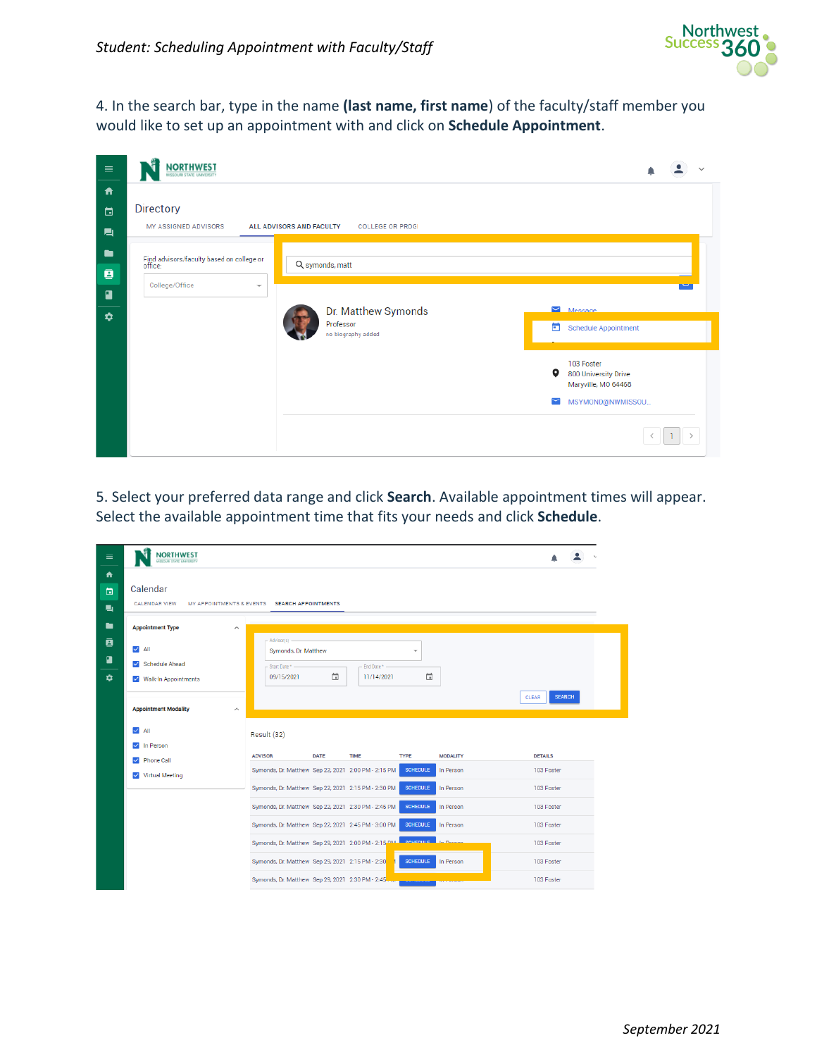

4. In the search bar, type in the name **(last name, first name**) of the faculty/staff member you would like to set up an appointment with and click on **Schedule Appointment**.

| $\equiv$                                               | <b>NORTHWEST</b><br>MISSOURI STATE UNIVERSITY                                                      |                                                        |                                                                                                            |
|--------------------------------------------------------|----------------------------------------------------------------------------------------------------|--------------------------------------------------------|------------------------------------------------------------------------------------------------------------|
| 青<br>茴<br>■                                            | <b>Directory</b><br>MY ASSIGNED ADVISORS                                                           | ALL ADVISORS AND FACULTY<br><b>COLLEGE OR PROG</b>     |                                                                                                            |
| $\blacksquare$<br>$\bar{\mathbf{g}}$<br>$\blacksquare$ | Find advisors/faculty based on college or<br>office:<br>College/Office<br>$\overline{\phantom{a}}$ | Q symonds, matt                                        |                                                                                                            |
| ۰                                                      |                                                                                                    | Dr. Matthew Symonds<br>Professor<br>no biography added | $M$ Message<br>ö<br>Schedule Appointment                                                                   |
|                                                        |                                                                                                    |                                                        | 103 Foster<br>$\bullet$<br>800 University Drive<br>Maryville, MO 64468<br>MSYMOND@NWMISSOU<br>$\checkmark$ |
|                                                        |                                                                                                    |                                                        |                                                                                                            |

5. Select your preferred data range and click **Search**. Available appointment times will appear. Select the available appointment time that fits your needs and click **Schedule**.

| $\equiv$                     | <b>NORTHWEST</b><br><b>ISSOURI STATE UNIVERSITY</b>    |                                                                   |             |                           |                    |                 |                        |  |
|------------------------------|--------------------------------------------------------|-------------------------------------------------------------------|-------------|---------------------------|--------------------|-----------------|------------------------|--|
| $\blacktriangle$<br>曲<br>鳥   | Calendar<br><b>CALENDAR VIEW</b>                       | MY APPOINTMENTS & EVENTS SEARCH APPOINTMENTS                      |             |                           |                    |                 |                        |  |
| $\qquad \qquad \blacksquare$ | <b>Appointment Type</b><br>$\widehat{\phantom{a}}$     |                                                                   |             |                           |                    |                 |                        |  |
| 直<br>n<br>$\bullet$          | $\vee$ All<br>Schedule Ahead<br>V Walk-In Appointments | Advisor(s)<br>Symonds, Dr. Matthew<br>Start Date* -<br>09/15/2021 | 茼           | End Date* -<br>11/14/2021 | $\checkmark$<br>帶  |                 |                        |  |
|                              | <b>Appointment Modality</b><br>$\widehat{\phantom{a}}$ |                                                                   |             |                           |                    |                 | <b>SEARCH</b><br>CLEAR |  |
|                              | $\vee$ All<br>$\sqrt{ }$ In Person                     | Result (32)                                                       |             |                           |                    |                 |                        |  |
|                              | <b>Phone Call</b><br>$\checkmark$                      | <b>ADVISOR</b>                                                    | <b>DATE</b> | <b>TIME</b>               | <b>TYPE</b>        | <b>MODALITY</b> | <b>DETAILS</b>         |  |
|                              | <b>Virtual Meeting</b><br>$\checkmark$                 | Symonds, Dr. Matthew Sep 22, 2021 2:00 PM - 2:15 PM               |             |                           | <b>SCHEDULE</b>    | In Person       | 103 Foster             |  |
|                              |                                                        | Symonds, Dr. Matthew Sep 22, 2021 2:15 PM - 2:30 PM               |             |                           | <b>SCHEDULE</b>    | In Person       | 103 Foster             |  |
|                              |                                                        | Symonds, Dr. Matthew Sep 22, 2021 2:30 PM - 2:45 PM               |             |                           | <b>SCHEDULE</b>    | In Person       | 103 Foster             |  |
|                              |                                                        | Symonds, Dr. Matthew Sep 22, 2021 2:45 PM - 3:00 PM               |             |                           | <b>SCHEDULE</b>    | In Person       | 103 Foster             |  |
|                              |                                                        | Symonds, Dr. Matthew Sep 29, 2021 2:00 PM - 2:15 PM               |             |                           | SCHEDULE In Decens |                 | 103 Foster             |  |
|                              |                                                        | Symonds, Dr. Matthew Sep 29, 2021 2:15 PM - 2:30                  |             |                           | <b>SCHEDULE</b>    | In Person       | 103 Foster             |  |
|                              |                                                        | Symonds, Dr. Matthew Sep 29, 2021 2:30 PM - 2:45                  |             |                           |                    |                 | 103 Foster             |  |